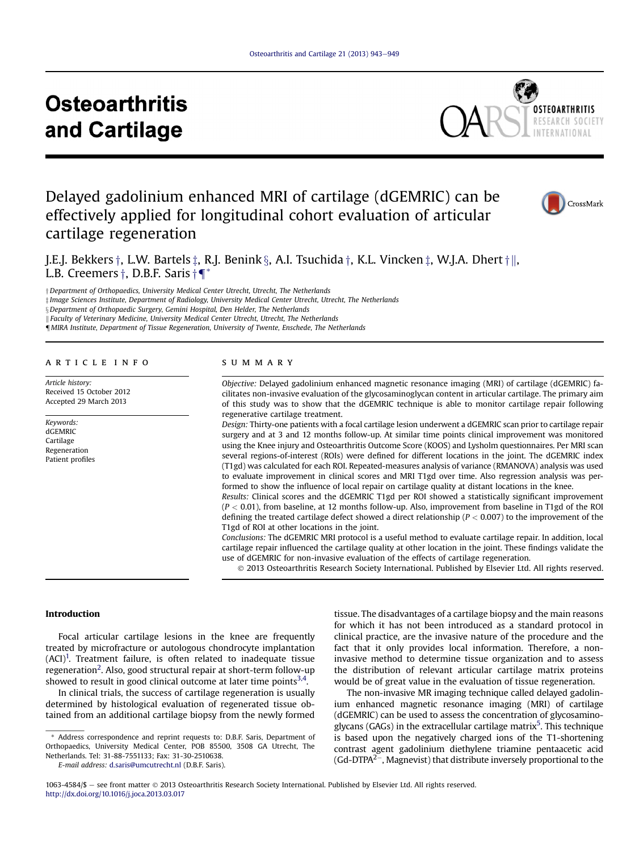# **Osteoarthritis** and Cartilage



## Delayed gadolinium enhanced MRI of cartilage (dGEMRIC) can be effectively applied for longitudinal cohort evaluation of articular cartilage regeneration



J.E.J. Bekkers  $\dagger$ , L.W. Bartels  $\ddagger$ , R.J. Benink §, A.I. Tsuchida  $\dagger$ , K.L. Vincken  $\ddagger$ , W.J.A. Dhert  $\dagger \parallel$ , L.B. Creemers  $\dagger$ , D.B.F. Saris  $\dagger \P^*$ 

<sup>†</sup> Department of Orthopaedics, University Medical Center Utrecht, Utrecht, The Netherlands

z Image Sciences Institute, Department of Radiology, University Medical Center Utrecht, Utrecht, The Netherlands

§ Department of Orthopaedic Surgery, Gemini Hospital, Den Helder, The Netherlands

k Faculty of Veterinary Medicine, University Medical Center Utrecht, Utrecht, The Netherlands

{ MIRA Institute, Department of Tissue Regeneration, University of Twente, Enschede, The Netherlands

#### article info

Article history: Received 15 October 2012 Accepted 29 March 2013

Keywords: dGEMRIC Cartilage Regeneration Patient profiles

#### summary

Objective: Delayed gadolinium enhanced magnetic resonance imaging (MRI) of cartilage (dGEMRIC) facilitates non-invasive evaluation of the glycosaminoglycan content in articular cartilage. The primary aim of this study was to show that the dGEMRIC technique is able to monitor cartilage repair following regenerative cartilage treatment.

Design: Thirty-one patients with a focal cartilage lesion underwent a dGEMRIC scan prior to cartilage repair surgery and at 3 and 12 months follow-up. At similar time points clinical improvement was monitored using the Knee injury and Osteoarthritis Outcome Score (KOOS) and Lysholm questionnaires. Per MRI scan several regions-of-interest (ROIs) were defined for different locations in the joint. The dGEMRIC index (T1gd) was calculated for each ROI. Repeated-measures analysis of variance (RMANOVA) analysis was used to evaluate improvement in clinical scores and MRI T1gd over time. Also regression analysis was performed to show the influence of local repair on cartilage quality at distant locations in the knee.

Results: Clinical scores and the dGEMRIC T1gd per ROI showed a statistically significant improvement  $(P < 0.01)$ , from baseline, at 12 months follow-up. Also, improvement from baseline in T1gd of the ROI defining the treated cartilage defect showed a direct relationship ( $P < 0.007$ ) to the improvement of the T1gd of ROI at other locations in the joint.

Conclusions: The dGEMRIC MRI protocol is a useful method to evaluate cartilage repair. In addition, local cartilage repair influenced the cartilage quality at other location in the joint. These findings validate the use of dGEMRIC for non-invasive evaluation of the effects of cartilage regeneration.

2013 Osteoarthritis Research Society International. Published by Elsevier Ltd. All rights reserved.

#### Introduction

Focal articular cartilage lesions in the knee are frequently treated by microfracture or autologous chondrocyte implantation  $(ACI)^1$ . Treatment failure, is often related to inadequate tissue regeneration<sup>[2](#page-5-0)</sup>. Also, good structural repair at short-term follow-up showed to result in good clinical outcome at later time points<sup>3,4</sup>.

In clinical trials, the success of cartilage regeneration is usually determined by histological evaluation of regenerated tissue obtained from an additional cartilage biopsy from the newly formed

E-mail address: [d.saris@umcutrecht.nl](mailto:d.saris@umcutrecht.nl) (D.B.F. Saris).

tissue. The disadvantages of a cartilage biopsy and the main reasons for which it has not been introduced as a standard protocol in clinical practice, are the invasive nature of the procedure and the fact that it only provides local information. Therefore, a noninvasive method to determine tissue organization and to assess the distribution of relevant articular cartilage matrix proteins would be of great value in the evaluation of tissue regeneration.

The non-invasive MR imaging technique called delayed gadolinium enhanced magnetic resonance imaging (MRI) of cartilage (dGEMRIC) can be used to assess the concentration of glycosaminoglycans (GAGs) in the extracellular cartilage matrix<sup>5</sup>. This technique is based upon the negatively charged ions of the T1-shortening contrast agent gadolinium diethylene triamine pentaacetic acid (Gd-DTPA $^{2-}$ , Magnevist) that distribute inversely proportional to the

<sup>\*</sup> Address correspondence and reprint requests to: D.B.F. Saris, Department of Orthopaedics, University Medical Center, POB 85500, 3508 GA Utrecht, The Netherlands. Tel: 31-88-7551133; Fax: 31-30-2510638.

<sup>1063-4584/\$ -</sup> see front matter © 2013 Osteoarthritis Research Society International. Published by Elsevier Ltd. All rights reserved. <http://dx.doi.org/10.1016/j.joca.2013.03.017>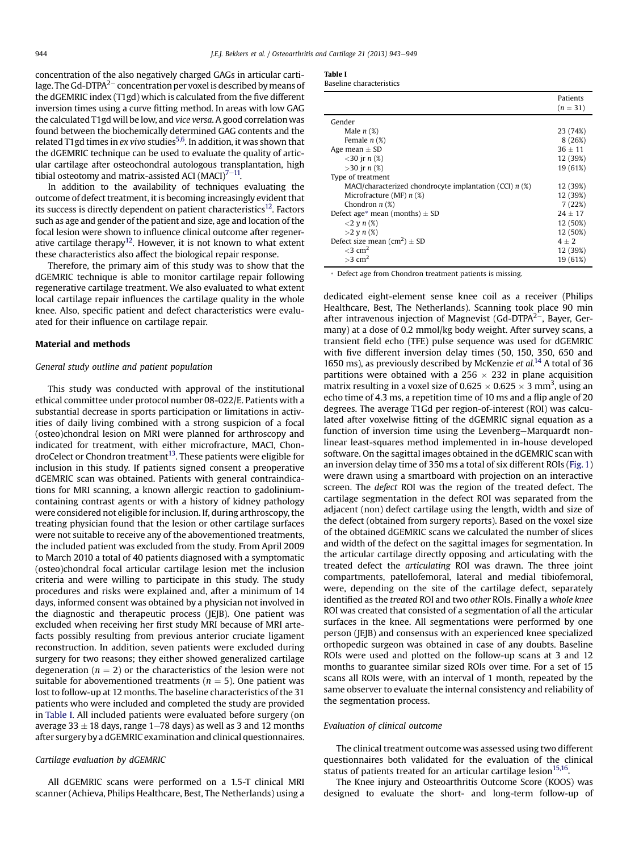concentration of the also negatively charged GAGs in articular cartilage. The Gd-DTPA $^\mathrm{2-}$  concentration per voxel is described by means of the dGEMRIC index (T1gd) which is calculated from the five different inversion times using a curve fitting method. In areas with low GAG the calculated T1gd will be low, and vice versa. A good correlation was found between the biochemically determined GAG contents and the related T1gd times in ex vivo studies<sup>[5,6](#page-5-0)</sup>. In addition, it was shown that the dGEMRIC technique can be used to evaluate the quality of articular cartilage after osteochondral autologous transplantation, high tibial osteotomy and matrix-assisted ACI (MACI) $7-11$ .

In addition to the availability of techniques evaluating the outcome of defect treatment, it is becoming increasingly evident that its success is directly dependent on patient characteristics $^{12}$ . Factors such as age and gender of the patient and size, age and location of the focal lesion were shown to influence clinical outcome after regenerative cartilage therapy<sup>12</sup>. However, it is not known to what extent these characteristics also affect the biological repair response.

Therefore, the primary aim of this study was to show that the dGEMRIC technique is able to monitor cartilage repair following regenerative cartilage treatment. We also evaluated to what extent local cartilage repair influences the cartilage quality in the whole knee. Also, specific patient and defect characteristics were evaluated for their influence on cartilage repair.

#### Material and methods

#### General study outline and patient population

This study was conducted with approval of the institutional ethical committee under protocol number 08-022/E. Patients with a substantial decrease in sports participation or limitations in activities of daily living combined with a strong suspicion of a focal (osteo)chondral lesion on MRI were planned for arthroscopy and indicated for treatment, with either microfracture, MACI, Chon $d$ roCelect or Chondron treatment<sup>13</sup>. These patients were eligible for inclusion in this study. If patients signed consent a preoperative dGEMRIC scan was obtained. Patients with general contraindications for MRI scanning, a known allergic reaction to gadoliniumcontaining contrast agents or with a history of kidney pathology were considered not eligible for inclusion. If, during arthroscopy, the treating physician found that the lesion or other cartilage surfaces were not suitable to receive any of the abovementioned treatments, the included patient was excluded from the study. From April 2009 to March 2010 a total of 40 patients diagnosed with a symptomatic (osteo)chondral focal articular cartilage lesion met the inclusion criteria and were willing to participate in this study. The study procedures and risks were explained and, after a minimum of 14 days, informed consent was obtained by a physician not involved in the diagnostic and therapeutic process (JEJB). One patient was excluded when receiving her first study MRI because of MRI artefacts possibly resulting from previous anterior cruciate ligament reconstruction. In addition, seven patients were excluded during surgery for two reasons; they either showed generalized cartilage degeneration ( $n = 2$ ) or the characteristics of the lesion were not suitable for abovementioned treatments ( $n = 5$ ). One patient was lost to follow-up at 12 months. The baseline characteristics of the 31 patients who were included and completed the study are provided in Table I. All included patients were evaluated before surgery (on average 33  $\pm$  18 days, range 1–78 days) as well as 3 and 12 months after surgery by a dGEMRIC examination and clinical questionnaires.

#### Cartilage evaluation by dGEMRIC

All dGEMRIC scans were performed on a 1.5-T clinical MRI scanner (Achieva, Philips Healthcare, Best, The Netherlands) using a

Baseline characteristics

|                                                           | Patients<br>$(n = 31)$ |
|-----------------------------------------------------------|------------------------|
| Gender                                                    |                        |
| Male $n$ $(\%)$                                           | 23 (74%)               |
| Female $n$ $(\%)$                                         | 8(26%)                 |
| Age mean $\pm$ SD                                         | $36 + 11$              |
| $<$ 30 jr n (%)                                           | 12 (39%)               |
| $>30$ jr n $(\%)$                                         | 19 (61%)               |
| Type of treatment                                         |                        |
| MACI/characterized chondrocyte implantation (CCI) $n$ (%) | 12 (39%)               |
| Microfracture (MF) $n$ (%)                                | 12 (39%)               |
| Chondron $n$ $(\%)$                                       | 7(22%)                 |
| Defect age* mean (months) $\pm$ SD                        | $24 + 17$              |
| $<$ 2 y n $(\%)$                                          | 12 (50%)               |
| $>2 \text{ y n } (\%)$                                    | 12 (50%)               |
| Defect size mean $(cm^2) \pm SD$                          | $4 + 2$                |
| $<$ 3 cm <sup>2</sup>                                     | 12 (39%)               |
| $>3$ cm <sup>2</sup>                                      | 19 (61%)               |

\* Defect age from Chondron treatment patients is missing.

dedicated eight-element sense knee coil as a receiver (Philips Healthcare, Best, The Netherlands). Scanning took place 90 min after intravenous injection of Magnevist (Gd-DTPA<sup>2-</sup>, Bayer, Germany) at a dose of 0.2 mmol/kg body weight. After survey scans, a transient field echo (TFE) pulse sequence was used for dGEMRIC with five different inversion delay times (50, 150, 350, 650 and 1650 ms), as previously described by McKenzie et  $al^{14}$  $al^{14}$  $al^{14}$  A total of 36 partitions were obtained with a 256  $\times$  232 in plane acquisition matrix resulting in a voxel size of  $0.625 \times 0.625 \times 3$  mm<sup>3</sup>, using an echo time of 4.3 ms, a repetition time of 10 ms and a flip angle of 20 degrees. The average T1Gd per region-of-interest (ROI) was calculated after voxelwise fitting of the dGEMRIC signal equation as a function of inversion time using the Levenberg-Marquardt nonlinear least-squares method implemented in in-house developed software. On the sagittal images obtained in the dGEMRIC scan with an inversion delay time of 350 ms a total of six different ROIs ([Fig. 1\)](#page-2-0) were drawn using a smartboard with projection on an interactive screen. The defect ROI was the region of the treated defect. The cartilage segmentation in the defect ROI was separated from the adjacent (non) defect cartilage using the length, width and size of the defect (obtained from surgery reports). Based on the voxel size of the obtained dGEMRIC scans we calculated the number of slices and width of the defect on the sagittal images for segmentation. In the articular cartilage directly opposing and articulating with the treated defect the articulating ROI was drawn. The three joint compartments, patellofemoral, lateral and medial tibiofemoral, were, depending on the site of the cartilage defect, separately identified as the treated ROI and two other ROIs. Finally a whole knee ROI was created that consisted of a segmentation of all the articular surfaces in the knee. All segmentations were performed by one person (JEJB) and consensus with an experienced knee specialized orthopedic surgeon was obtained in case of any doubts. Baseline ROIs were used and plotted on the follow-up scans at 3 and 12 months to guarantee similar sized ROIs over time. For a set of 15 scans all ROIs were, with an interval of 1 month, repeated by the same observer to evaluate the internal consistency and reliability of the segmentation process.

#### Evaluation of clinical outcome

The clinical treatment outcome was assessed using two different questionnaires both validated for the evaluation of the clinical status of patients treated for an articular cartilage lesion $15,16$ .

The Knee injury and Osteoarthritis Outcome Score (KOOS) was designed to evaluate the short- and long-term follow-up of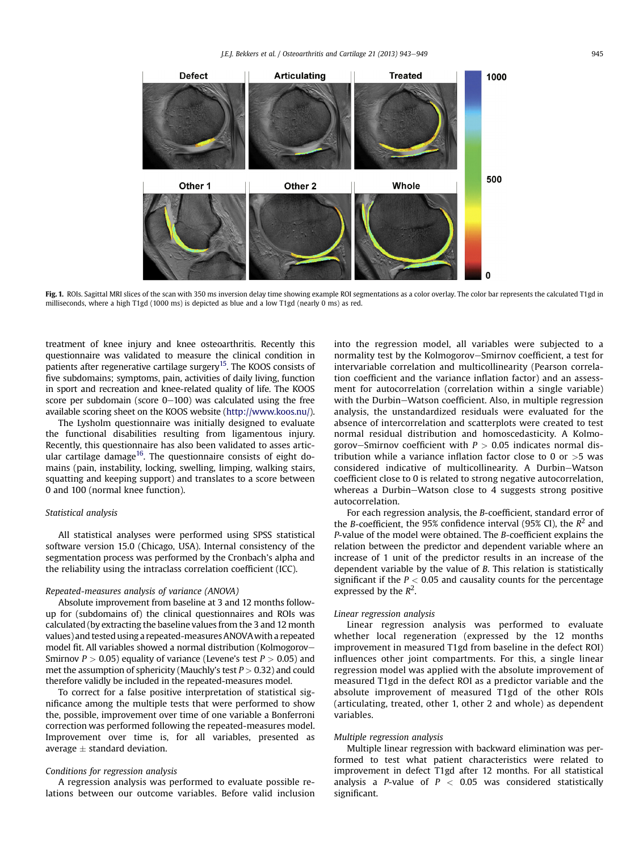<span id="page-2-0"></span>

Fig. 1. ROIs. Sagittal MRI slices of the scan with 350 ms inversion delay time showing example ROI segmentations as a color overlay. The color bar represents the calculated T1gd in milliseconds, where a high T1gd (1000 ms) is depicted as blue and a low T1gd (nearly 0 ms) as red.

treatment of knee injury and knee osteoarthritis. Recently this questionnaire was validated to measure the clinical condition in patients after regenerative cartilage surgery<sup>[15](#page-5-0)</sup>. The KOOS consists of five subdomains; symptoms, pain, activities of daily living, function in sport and recreation and knee-related quality of life. The KOOS score per subdomain (score  $0-100$ ) was calculated using the free available scoring sheet on the KOOS website [\(http://www.koos.nu/\)](http://www.koos.nu/).

The Lysholm questionnaire was initially designed to evaluate the functional disabilities resulting from ligamentous injury. Recently, this questionnaire has also been validated to asses articular cartilage damage<sup>16</sup>. The questionnaire consists of eight domains (pain, instability, locking, swelling, limping, walking stairs, squatting and keeping support) and translates to a score between 0 and 100 (normal knee function).

#### Statistical analysis

All statistical analyses were performed using SPSS statistical software version 15.0 (Chicago, USA). Internal consistency of the segmentation process was performed by the Cronbach's alpha and the reliability using the intraclass correlation coefficient (ICC).

### Repeated-measures analysis of variance (ANOVA)

Absolute improvement from baseline at 3 and 12 months followup for (subdomains of) the clinical questionnaires and ROIs was calculated (by extracting the baseline values from the 3 and 12 month values) and tested using a repeated-measures ANOVAwith a repeated model fit. All variables showed a normal distribution (Kolmogorov-Smirnov  $P > 0.05$ ) equality of variance (Levene's test  $P > 0.05$ ) and met the assumption of sphericity (Mauchly's test  $P > 0.32$ ) and could therefore validly be included in the repeated-measures model.

To correct for a false positive interpretation of statistical significance among the multiple tests that were performed to show the, possible, improvement over time of one variable a Bonferroni correction was performed following the repeated-measures model. Improvement over time is, for all variables, presented as average  $\pm$  standard deviation.

#### Conditions for regression analysis

A regression analysis was performed to evaluate possible relations between our outcome variables. Before valid inclusion into the regression model, all variables were subjected to a normality test by the Kolmogorov-Smirnov coefficient, a test for intervariable correlation and multicollinearity (Pearson correlation coefficient and the variance inflation factor) and an assessment for autocorrelation (correlation within a single variable) with the Durbin-Watson coefficient. Also, in multiple regression analysis, the unstandardized residuals were evaluated for the absence of intercorrelation and scatterplots were created to test normal residual distribution and homoscedasticity. A Kolmogorov–Smirnov coefficient with  $P > 0.05$  indicates normal distribution while a variance inflation factor close to 0 or  $>5$  was considered indicative of multicollinearity. A Durbin-Watson coefficient close to 0 is related to strong negative autocorrelation, whereas a Durbin-Watson close to 4 suggests strong positive autocorrelation.

For each regression analysis, the B-coefficient, standard error of the B-coefficient, the 95% confidence interval (95% CI), the  $R^2$  and P-value of the model were obtained. The B-coefficient explains the relation between the predictor and dependent variable where an increase of 1 unit of the predictor results in an increase of the dependent variable by the value of B. This relation is statistically significant if the  $P < 0.05$  and causality counts for the percentage expressed by the  $R^2$ .

#### Linear regression analysis

Linear regression analysis was performed to evaluate whether local regeneration (expressed by the 12 months improvement in measured T1gd from baseline in the defect ROI) influences other joint compartments. For this, a single linear regression model was applied with the absolute improvement of measured T1gd in the defect ROI as a predictor variable and the absolute improvement of measured T1gd of the other ROIs (articulating, treated, other 1, other 2 and whole) as dependent variables.

#### Multiple regression analysis

Multiple linear regression with backward elimination was performed to test what patient characteristics were related to improvement in defect T1gd after 12 months. For all statistical analysis a P-value of  $P < 0.05$  was considered statistically significant.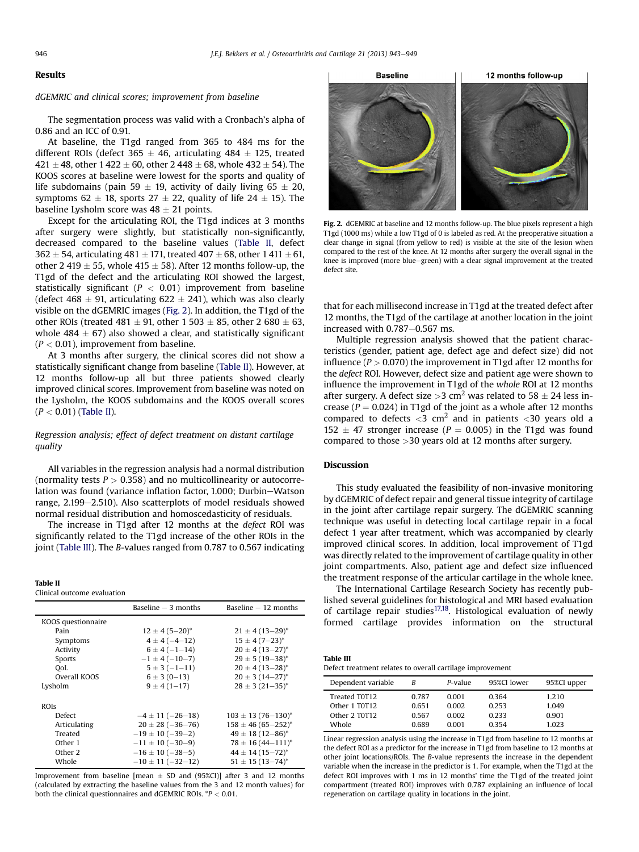#### Results

#### dGEMRIC and clinical scores; improvement from baseline

The segmentation process was valid with a Cronbach's alpha of 0.86 and an ICC of 0.91.

At baseline, the T1gd ranged from 365 to 484 ms for the different ROIs (defect 365  $\pm$  46, articulating 484  $\pm$  125, treated  $421 \pm 48$ , other  $1422 \pm 60$ , other  $2448 \pm 68$ , whole  $432 \pm 54$ ). The KOOS scores at baseline were lowest for the sports and quality of life subdomains (pain 59  $\pm$  19, activity of daily living 65  $\pm$  20, symptoms 62  $\pm$  18, sports 27  $\pm$  22, quality of life 24  $\pm$  15). The baseline Lysholm score was  $48 \pm 21$  points.

Except for the articulating ROI, the T1gd indices at 3 months after surgery were slightly, but statistically non-significantly, decreased compared to the baseline values (Table II, defect  $362 \pm 54$ , articulating  $481 \pm 171$ , treated  $407 \pm 68$ , other  $1411 \pm 61$ , other 2 419  $\pm$  55, whole 415  $\pm$  58). After 12 months follow-up, the T1gd of the defect and the articulating ROI showed the largest, statistically significant ( $P < 0.01$ ) improvement from baseline (defect 468  $\pm$  91, articulating 622  $\pm$  241), which was also clearly visible on the dGEMRIC images (Fig. 2). In addition, the T1gd of the other ROIs (treated 481  $\pm$  91, other 1 503  $\pm$  85, other 2 680  $\pm$  63, whole  $484 \pm 67$ ) also showed a clear, and statistically significant  $(P < 0.01)$ , improvement from baseline.

At 3 months after surgery, the clinical scores did not show a statistically significant change from baseline (Table II). However, at 12 months follow-up all but three patients showed clearly improved clinical scores. Improvement from baseline was noted on the Lysholm, the KOOS subdomains and the KOOS overall scores  $(P < 0.01)$  (Table II).

Regression analysis; effect of defect treatment on distant cartilage quality

All variables in the regression analysis had a normal distribution (normality tests  $P > 0.358$ ) and no multicollinearity or autocorrelation was found (variance inflation factor, 1.000; Durbin-Watson range, 2.199-2.510). Also scatterplots of model residuals showed normal residual distribution and homoscedasticity of residuals.

The increase in T1gd after 12 months at the defect ROI was significantly related to the T1gd increase of the other ROIs in the joint (Table III). The B-values ranged from 0.787 to 0.567 indicating

| וח<br>ı<br>ıа<br>н<br>ı<br>× |  |
|------------------------------|--|
|------------------------------|--|

Clinical outcome evaluation

|                    | Baseline $-3$ months    | Baseline $-12$ months             |  |
|--------------------|-------------------------|-----------------------------------|--|
| KOOS questionnaire |                         |                                   |  |
| Pain               | $12 \pm 4 (5 - 20)^*$   | $21 \pm 4 (13 - 29)^*$            |  |
| Symptoms           | $4 \pm 4(-4-12)$        | $15 \pm 4 (7 - 23)^*$             |  |
| Activity           | $6 \pm 4 (-1 - 14)$     | $20 \pm 4(13 - 27)^*$             |  |
| Sports             | $-1 \pm 4 (-10-7)$      | $29 \pm 5 (19 - 38)^*$            |  |
| OoL                | $5 \pm 3(-1-11)$        | $20 \pm 4(13 - 28)^*$             |  |
| Overall KOOS       | $6 \pm 3(0-13)$         | $20 \pm 3(14 - 27)^*$             |  |
| Lysholm            | $9 \pm 4(1-17)$         | $28 \pm 3(21 - 35)^*$             |  |
| <b>ROIS</b>        |                         |                                   |  |
| Defect             | $-4 \pm 11 (-26 - 18)$  | $103 \pm 13 (76 - 130)^*$         |  |
| Articulating       | $20 \pm 28 (-36 - 76)$  | $158 \pm 46 (65 - 252)^*$         |  |
| Treated            | $-19 \pm 10 (-39 - 2)$  | $49 \pm 18 (12 - 86)^*$           |  |
| Other 1            | $-11 \pm 10 (-30-9)$    | $78 \pm 16$ (44-111) <sup>*</sup> |  |
| Other 2            | $-16 \pm 10 (-38 - 5)$  | $44 \pm 14(15 - 72)^*$            |  |
| Whole              | $-10 \pm 11 (-32 - 12)$ | $51 \pm 15 (13 - 74)^*$           |  |

Improvement from baseline [mean  $\pm$  SD and (95%CI)] after 3 and 12 months (calculated by extracting the baseline values from the 3 and 12 month values) for both the clinical questionnaires and dGEMRIC ROIs. \*P < 0.01.



Fig. 2. dGEMRIC at baseline and 12 months follow-up. The blue pixels represent a high T1gd (1000 ms) while a low T1gd of 0 is labeled as red. At the preoperative situation a clear change in signal (from yellow to red) is visible at the site of the lesion when compared to the rest of the knee. At 12 months after surgery the overall signal in the knee is improved (more blue-green) with a clear signal improvement at the treated defect site.

that for each millisecond increase in T1gd at the treated defect after 12 months, the T1gd of the cartilage at another location in the joint increased with  $0.787-0.567$  ms.

Multiple regression analysis showed that the patient characteristics (gender, patient age, defect age and defect size) did not influence ( $P > 0.070$ ) the improvement in T1gd after 12 months for the defect ROI. However, defect size and patient age were shown to influence the improvement in T1gd of the whole ROI at 12 months after surgery. A defect size > 3 cm<sup>2</sup> was related to 58  $\pm$  24 less increase ( $P = 0.024$ ) in T1gd of the joint as a whole after 12 months compared to defects  $<$ 3 cm<sup>2</sup> and in patients  $<$ 30 years old a 152  $\pm$  47 stronger increase (P = 0.005) in the T1gd was found compared to those >30 years old at 12 months after surgery.

#### **Discussion**

This study evaluated the feasibility of non-invasive monitoring by dGEMRIC of defect repair and general tissue integrity of cartilage in the joint after cartilage repair surgery. The dGEMRIC scanning technique was useful in detecting local cartilage repair in a focal defect 1 year after treatment, which was accompanied by clearly improved clinical scores. In addition, local improvement of T1gd was directly related to the improvement of cartilage quality in other joint compartments. Also, patient age and defect size influenced the treatment response of the articular cartilage in the whole knee.

The International Cartilage Research Society has recently published several guidelines for histological and MRI based evaluation of cartilage repair studies $17,18$ . Histological evaluation of newly formed cartilage provides information on the structural

| <b>Table III</b>                                          |
|-----------------------------------------------------------|
| Defect treatment relates to overall cartilage improvement |

| Dependent variable |       | P-value | 95%CI lower | 95%CI upper |
|--------------------|-------|---------|-------------|-------------|
| Treated T0T12      | 0.787 | 0.001   | 0.364       | 1.210       |
| Other 1 T0T12      | 0.651 | 0.002   | 0.253       | 1.049       |
| Other 2 T0T12      | 0.567 | 0.002   | 0.233       | 0.901       |
| Whole              | 0.689 | 0.001   | 0.354       | 1.023       |

Linear regression analysis using the increase in T1gd from baseline to 12 months at the defect ROI as a predictor for the increase in T1gd from baseline to 12 months at other joint locations/ROIs. The B-value represents the increase in the dependent variable when the increase in the predictor is 1. For example, when the T1gd at the defect ROI improves with 1 ms in 12 months' time the T1gd of the treated joint compartment (treated ROI) improves with 0.787 explaining an influence of local regeneration on cartilage quality in locations in the joint.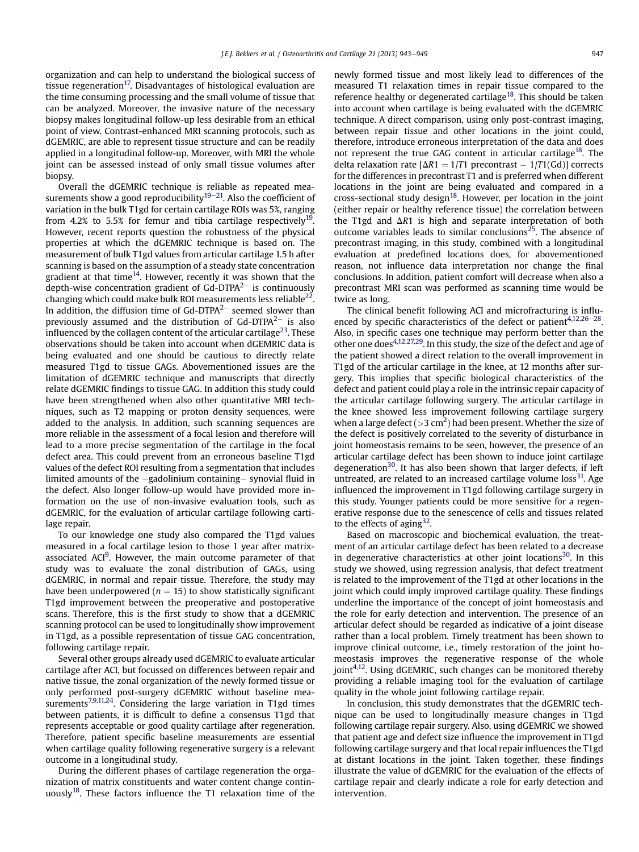organization and can help to understand the biological success of tissue regeneration<sup>17</sup>. Disadvantages of histological evaluation are the time consuming processing and the small volume of tissue that can be analyzed. Moreover, the invasive nature of the necessary biopsy makes longitudinal follow-up less desirable from an ethical point of view. Contrast-enhanced MRI scanning protocols, such as dGEMRIC, are able to represent tissue structure and can be readily applied in a longitudinal follow-up. Moreover, with MRI the whole joint can be assessed instead of only small tissue volumes after biopsy.

Overall the dGEMRIC technique is reliable as repeated measurements show a good reproducibility<sup>19–21</sup>. Also the coefficient of variation in the bulk T1gd for certain cartilage ROIs was 5%, ranging from 4.2% to 5.5% for femur and tibia cartilage respectively<sup>19</sup>. However, recent reports question the robustness of the physical properties at which the dGEMRIC technique is based on. The measurement of bulk T1gd values from articular cartilage 1.5 h after scanning is based on the assumption of a steady state concentration gradient at that time<sup>[14](#page-5-0)</sup>. However, recently it was shown that the depth-wise concentration gradient of Gd-DTPA $^{2-}$  is continuously changing which could make bulk ROI measurements less reliable<sup>22</sup>. In addition, the diffusion time of Gd-DTPA $^{2-}$  seemed slower than previously assumed and the distribution of Gd-DTPA $^{2-}$  is also influenced by the collagen content of the articular cartilage<sup>23</sup>. These observations should be taken into account when dGEMRIC data is being evaluated and one should be cautious to directly relate measured T1gd to tissue GAGs. Abovementioned issues are the limitation of dGEMRIC technique and manuscripts that directly relate dGEMRIC findings to tissue GAG. In addition this study could have been strengthened when also other quantitative MRI techniques, such as T2 mapping or proton density sequences, were added to the analysis. In addition, such scanning sequences are more reliable in the assessment of a focal lesion and therefore will lead to a more precise segmentation of the cartilage in the focal defect area. This could prevent from an erroneous baseline T1gd values of the defect ROI resulting from a segmentation that includes limited amounts of the  $-gadolinium$  containing  $-gynoval$  fluid in the defect. Also longer follow-up would have provided more information on the use of non-invasive evaluation tools, such as dGEMRIC, for the evaluation of articular cartilage following cartilage repair.

To our knowledge one study also compared the T1gd values measured in a focal cartilage lesion to those 1 year after matrix-associated ACI<sup>[9](#page-5-0)</sup>. However, the main outcome parameter of that study was to evaluate the zonal distribution of GAGs, using dGEMRIC, in normal and repair tissue. Therefore, the study may have been underpowered ( $n = 15$ ) to show statistically significant T1gd improvement between the preoperative and postoperative scans. Therefore, this is the first study to show that a dGEMRIC scanning protocol can be used to longitudinally show improvement in T1gd, as a possible representation of tissue GAG concentration, following cartilage repair.

Several other groups already used dGEMRIC to evaluate articular cartilage after ACI, but focussed on differences between repair and native tissue, the zonal organization of the newly formed tissue or only performed post-surgery dGEMRIC without baseline measurements<sup>7,9,11,24</sup>. Considering the large variation in T1gd times between patients, it is difficult to define a consensus T1gd that represents acceptable or good quality cartilage after regeneration. Therefore, patient specific baseline measurements are essential when cartilage quality following regenerative surgery is a relevant outcome in a longitudinal study.

During the different phases of cartilage regeneration the organization of matrix constituents and water content change contin-uously<sup>[18](#page-5-0)</sup>. These factors influence the T1 relaxation time of the newly formed tissue and most likely lead to differences of the measured T1 relaxation times in repair tissue compared to the reference healthy or degenerated cartilage<sup>18</sup>. This should be taken into account when cartilage is being evaluated with the dGEMRIC technique. A direct comparison, using only post-contrast imaging, between repair tissue and other locations in the joint could, therefore, introduce erroneous interpretation of the data and does not represent the true GAG content in articular cartilage<sup>18</sup>. The delta relaxation rate  $[\Delta R1 = 1/T1$  precontrast  $-1/T1$ (Gd)] corrects for the differences in precontrast T1 and is preferred when different locations in the joint are being evaluated and compared in a cross-sectional study design $^{18}$  $^{18}$  $^{18}$ . However, per location in the joint (either repair or healthy reference tissue) the correlation between the T1gd and  $\Delta R1$  is high and separate interpretation of both outcome variables leads to similar conclusions<sup>[25](#page-6-0)</sup>. The absence of precontrast imaging, in this study, combined with a longitudinal evaluation at predefined locations does, for abovementioned reason, not influence data interpretation nor change the final conclusions. In addition, patient comfort will decrease when also a precontrast MRI scan was performed as scanning time would be twice as long.

The clinical benefit following ACI and microfracturing is influenced by specific characteristics of the defect or patient $4,12,26-28$  $4,12,26-28$ . Also, in specific cases one technique may perform better than the other one does<sup>4,12,27,29</sup>. In this study, the size of the defect and age of the patient showed a direct relation to the overall improvement in T1gd of the articular cartilage in the knee, at 12 months after surgery. This implies that specific biological characteristics of the defect and patient could play a role in the intrinsic repair capacity of the articular cartilage following surgery. The articular cartilage in the knee showed less improvement following cartilage surgery when a large defect (>3 cm<sup>2</sup>) had been present. Whether the size of the defect is positively correlated to the severity of disturbance in joint homeostasis remains to be seen, however, the presence of an articular cartilage defect has been shown to induce joint cartilage degeneration $30$ . It has also been shown that larger defects, if left untreated, are related to an increased cartilage volume  $loss<sup>31</sup>$ . Age influenced the improvement in T1gd following cartilage surgery in this study. Younger patients could be more sensitive for a regenerative response due to the senescence of cells and tissues related to the effects of aging<sup>32</sup>.

Based on macroscopic and biochemical evaluation, the treatment of an articular cartilage defect has been related to a decrease in degenerative characteristics at other joint locations<sup>[30](#page-6-0)</sup>. In this study we showed, using regression analysis, that defect treatment is related to the improvement of the T1gd at other locations in the joint which could imply improved cartilage quality. These findings underline the importance of the concept of joint homeostasis and the role for early detection and intervention. The presence of an articular defect should be regarded as indicative of a joint disease rather than a local problem. Timely treatment has been shown to improve clinical outcome, i.e., timely restoration of the joint homeostasis improves the regenerative response of the whole joint<sup>4,12</sup>. Using dGEMRIC, such changes can be monitored thereby providing a reliable imaging tool for the evaluation of cartilage quality in the whole joint following cartilage repair.

In conclusion, this study demonstrates that the dGEMRIC technique can be used to longitudinally measure changes in T1gd following cartilage repair surgery. Also, using dGEMRIC we showed that patient age and defect size influence the improvement in T1gd following cartilage surgery and that local repair influences the T1gd at distant locations in the joint. Taken together, these findings illustrate the value of dGEMRIC for the evaluation of the effects of cartilage repair and clearly indicate a role for early detection and intervention.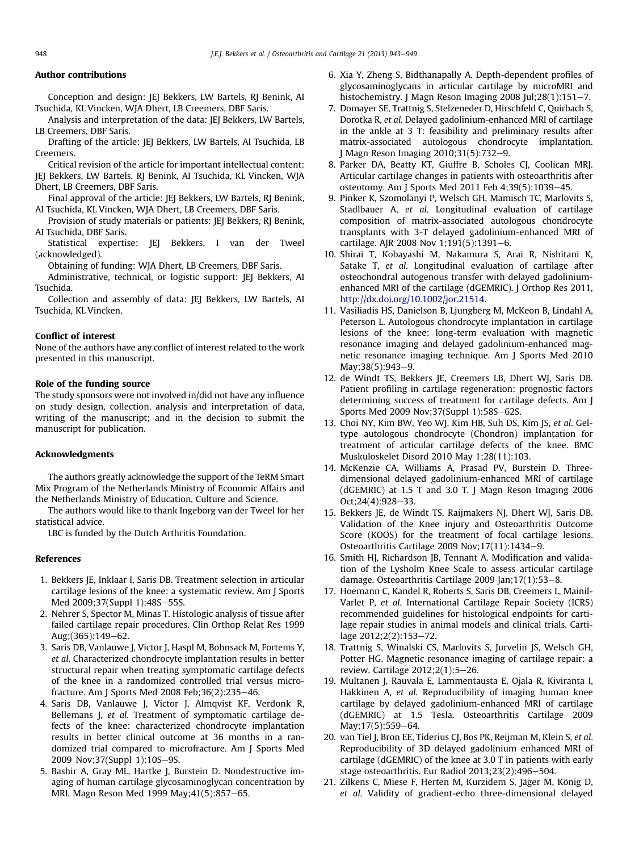#### <span id="page-5-0"></span>Author contributions

Conception and design: JEJ Bekkers, LW Bartels, RJ Benink, AI Tsuchida, KL Vincken, WJA Dhert, LB Creemers, DBF Saris.

Analysis and interpretation of the data: JEJ Bekkers, LW Bartels, LB Creemers, DBF Saris.

Drafting of the article: JEJ Bekkers, LW Bartels, AI Tsuchida, LB Creemers.

Critical revision of the article for important intellectual content: JEJ Bekkers, LW Bartels, RJ Benink, AI Tsuchida, KL Vincken, WJA Dhert, LB Creemers, DBF Saris.

Final approval of the article: JEJ Bekkers, LW Bartels, RJ Benink, AI Tsuchida, KL Vincken, WJA Dhert, LB Creemers, DBF Saris.

Provision of study materials or patients: JEJ Bekkers, RJ Benink, AI Tsuchida, DBF Saris.

Statistical expertise: JEJ Bekkers, I van der Tweel (acknowledged).

Obtaining of funding: WJA Dhert, LB Creemers, DBF Saris.

Administrative, technical, or logistic support: JEJ Bekkers, AI Tsuchida.

Collection and assembly of data: JEJ Bekkers, LW Bartels, AI Tsuchida, KL Vincken.

#### Conflict of interest

None of the authors have any conflict of interest related to the work presented in this manuscript.

#### Role of the funding source

The study sponsors were not involved in/did not have any influence on study design, collection, analysis and interpretation of data, writing of the manuscript; and in the decision to submit the manuscript for publication.

#### Acknowledgments

The authors greatly acknowledge the support of the TeRM Smart Mix Program of the Netherlands Ministry of Economic Affairs and the Netherlands Ministry of Education, Culture and Science.

The authors would like to thank Ingeborg van der Tweel for her statistical advice.

LBC is funded by the Dutch Arthritis Foundation.

#### References

- 1. Bekkers JE, Inklaar I, Saris DB. Treatment selection in articular cartilage lesions of the knee: a systematic review. Am J Sports Med 2009;37(Suppl 1):48S-55S.
- 2. Nehrer S, Spector M, Minas T. Histologic analysis of tissue after failed cartilage repair procedures. Clin Orthop Relat Res 1999 Aug;(365):149-62.
- 3. Saris DB, Vanlauwe J, Victor J, Haspl M, Bohnsack M, Fortems Y, et al. Characterized chondrocyte implantation results in better structural repair when treating symptomatic cartilage defects of the knee in a randomized controlled trial versus microfracture. Am J Sports Med 2008 Feb;  $36(2)$ :  $235-46$ .
- 4. Saris DB, Vanlauwe J, Victor J, Almqvist KF, Verdonk R, Bellemans J, et al. Treatment of symptomatic cartilage defects of the knee: characterized chondrocyte implantation results in better clinical outcome at 36 months in a randomized trial compared to microfracture. Am J Sports Med 2009 Nov;37(Suppl 1):10S-9S.
- 5. Bashir A, Gray ML, Hartke J, Burstein D. Nondestructive imaging of human cartilage glycosaminoglycan concentration by MRI. Magn Reson Med 1999 May; 41(5): 857–65.
- 6. Xia Y, Zheng S, Bidthanapally A. Depth-dependent profiles of glycosaminoglycans in articular cartilage by microMRI and histochemistry. J Magn Reson Imaging 2008 Jul;28(1):151-7.
- 7. Domayer SE, Trattnig S, Stelzeneder D, Hirschfeld C, Quirbach S, Dorotka R, et al. Delayed gadolinium-enhanced MRI of cartilage in the ankle at 3 T: feasibility and preliminary results after matrix-associated autologous chondrocyte implantation. J Magn Reson Imaging  $2010;31(5):732-9$ .
- 8. Parker DA, Beatty KT, Giuffre B, Scholes CJ, Coolican MRJ. Articular cartilage changes in patients with osteoarthritis after osteotomy. Am J Sports Med 2011 Feb 4;39(5):1039-45.
- 9. Pinker K, Szomolanyi P, Welsch GH, Mamisch TC, Marlovits S, Stadlbauer A, et al. Longitudinal evaluation of cartilage composition of matrix-associated autologous chondrocyte transplants with 3-T delayed gadolinium-enhanced MRI of cartilage. AJR 2008 Nov  $1:191(5):1391-6$ .
- 10. Shirai T, Kobayashi M, Nakamura S, Arai R, Nishitani K, Satake T, et al. Longitudinal evaluation of cartilage after osteochondral autogenous transfer with delayed gadoliniumenhanced MRI of the cartilage (dGEMRIC). J Orthop Res 2011, [http://dx.doi.org/10.1002/jor.21514.](http://dx.doi.org/10.1002/jor.21514)
- 11. Vasiliadis HS, Danielson B, Ljungberg M, McKeon B, Lindahl A, Peterson L. Autologous chondrocyte implantation in cartilage lesions of the knee: long-term evaluation with magnetic resonance imaging and delayed gadolinium-enhanced magnetic resonance imaging technique. Am J Sports Med 2010 May;38(5):943-9.
- 12. de Windt TS, Bekkers JE, Creemers LB, Dhert WJ, Saris DB. Patient profiling in cartilage regeneration: prognostic factors determining success of treatment for cartilage defects. Am J Sports Med 2009 Nov;37(Suppl 1):58S-62S.
- 13. Choi NY, Kim BW, Yeo WJ, Kim HB, Suh DS, Kim JS, et al. Geltype autologous chondrocyte (Chondron) implantation for treatment of articular cartilage defects of the knee. BMC Muskuloskelet Disord 2010 May 1;28(11):103.
- 14. McKenzie CA, Williams A, Prasad PV, Burstein D. Threedimensional delayed gadolinium-enhanced MRI of cartilage (dGEMRIC) at 1.5 T and 3.0 T. J Magn Reson Imaging 2006 Oct; 24(4): 928-33.
- 15. Bekkers JE, de Windt TS, Raijmakers NJ, Dhert WJ, Saris DB. Validation of the Knee injury and Osteoarthritis Outcome Score (KOOS) for the treatment of focal cartilage lesions. Osteoarthritis Cartilage 2009 Nov; $17(11)$ : $1434-9$ .
- 16. Smith HJ, Richardson JB, Tennant A. Modification and validation of the Lysholm Knee Scale to assess articular cartilage damage. Osteoarthritis Cartilage 2009 Jan;17(1):53-8.
- 17. Hoemann C, Kandel R, Roberts S, Saris DB, Creemers L, Mainil-Varlet P, et al. International Cartilage Repair Society (ICRS) recommended guidelines for histological endpoints for cartilage repair studies in animal models and clinical trials. Cartilage 2012;2(2):153-72.
- 18. Trattnig S, Winalski CS, Marlovits S, Jurvelin JS, Welsch GH, Potter HG. Magnetic resonance imaging of cartilage repair: a review. Cartilage  $2012;2(1):5-26$ .
- 19. Multanen J, Rauvala E, Lammentausta E, Ojala R, Kiviranta I, Hakkinen A, et al. Reproducibility of imaging human knee cartilage by delayed gadolinium-enhanced MRI of cartilage (dGEMRIC) at 1.5 Tesla. Osteoarthritis Cartilage 2009 May;17(5):559-64.
- 20. van Tiel J, Bron EE, Tiderius CJ, Bos PK, Reijman M, Klein S, et al. Reproducibility of 3D delayed gadolinium enhanced MRI of cartilage (dGEMRIC) of the knee at 3.0 T in patients with early stage osteoarthritis. Eur Radiol 2013;23(2):496-504.
- 21. Zilkens C, Miese F, Herten M, Kurzidem S, Jäger M, König D, et al. Validity of gradient-echo three-dimensional delayed